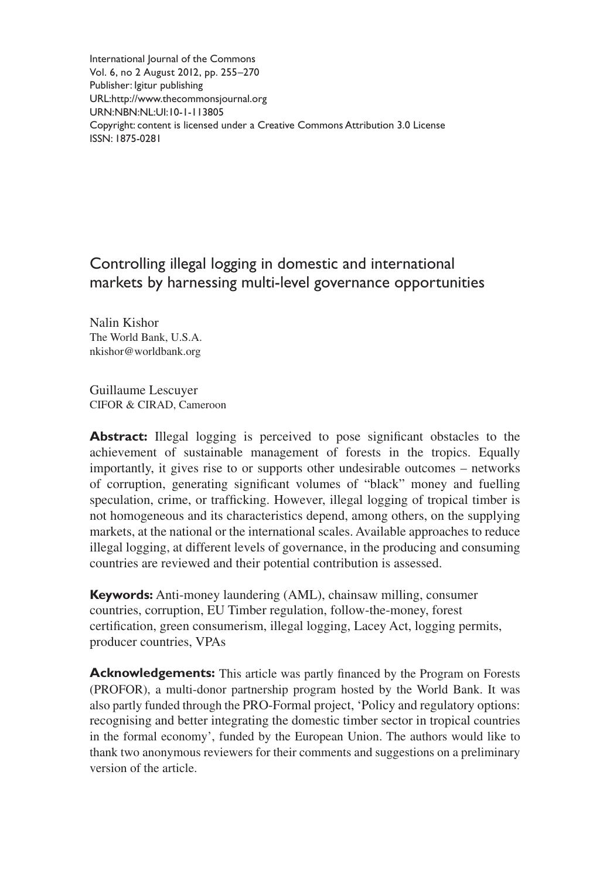International Journal of the Commons Vol. 6, no 2 August 2012, pp. 255–270 Publisher: Igitur publishing URL[:http://www.thecommonsjournal.org](http://www.thecommonsjournal.org) URN:NBN:NL:UI:10-1-113805 Copyright: content is licensed under a Creative Commons Attribution 3.0 License ISSN: 1875-0281

# Controlling illegal logging in domestic and international markets by harnessing multi-level governance opportunities

Nalin Kishor The World Bank, U.S.A. [nkishor@worldbank.org](mailto:nkishor@worldbank.org )

Guillaume Lescuyer CIFOR & CIRAD, Cameroon

Abstract: Illegal logging is perceived to pose significant obstacles to the achievement of sustainable management of forests in the tropics. Equally importantly, it gives rise to or supports other undesirable outcomes – networks of corruption, generating significant volumes of "black" money and fuelling speculation, crime, or trafficking. However, illegal logging of tropical timber is not homogeneous and its characteristics depend, among others, on the supplying markets, at the national or the international scales. Available approaches to reduce illegal logging, at different levels of governance, in the producing and consuming countries are reviewed and their potential contribution is assessed.

**Keywords:** Anti-money laundering (AML), chainsaw milling, consumer countries, corruption, EU Timber regulation, follow-the-money, forest certification, green consumerism, illegal logging, Lacey Act, logging permits, producer countries, VPAs

**Acknowledgements:** This article was partly financed by the Program on Forests (PROFOR), a multi-donor partnership program hosted by the World Bank. It was also partly funded through the PRO-Formal project, 'Policy and regulatory options: recognising and better integrating the domestic timber sector in tropical countries in the formal economy', funded by the European Union. The authors would like to thank two anonymous reviewers for their comments and suggestions on a preliminary version of the article.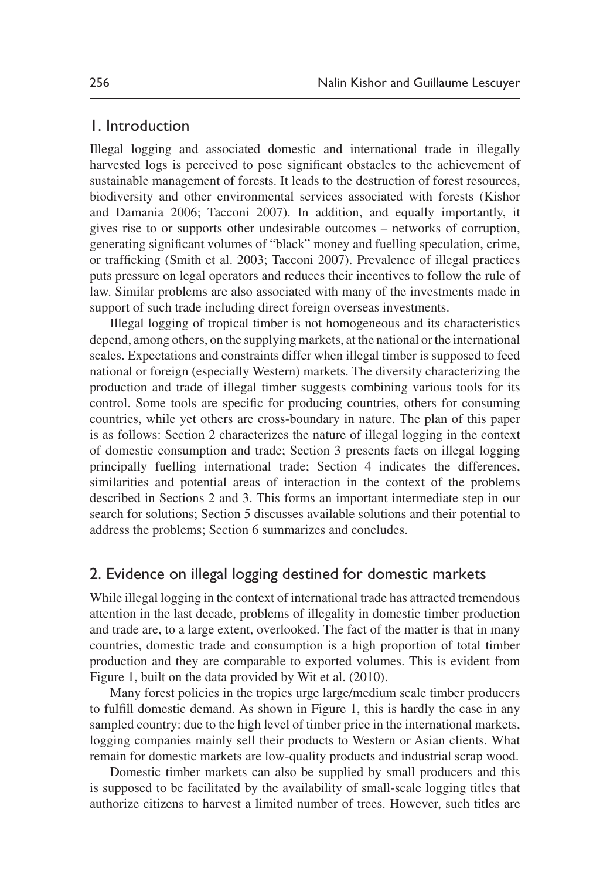## 1. Introduction

Illegal logging and associated domestic and international trade in illegally harvested logs is perceived to pose significant obstacles to the achievement of sustainable management of forests. It leads to the destruction of forest resources, biodiversity and other environmental services associated with forests [\(Kishor](#page-14-0) [and Damania 2006;](#page-14-0) [Tacconi 2007\)](#page-15-0). In addition, and equally importantly, it gives rise to or supports other undesirable outcomes – networks of corruption, generating significant volumes of "black" money and fuelling speculation, crime, or trafficking ([Smith et al. 2003](#page-15-1); [Tacconi 2007](#page-15-0)). Prevalence of illegal practices puts pressure on legal operators and reduces their incentives to follow the rule of law. Similar problems are also associated with many of the investments made in support of such trade including direct foreign overseas investments.

Illegal logging of tropical timber is not homogeneous and its characteristics depend, among others, on the supplying markets, at the national or the international scales. Expectations and constraints differ when illegal timber is supposed to feed national or foreign (especially Western) markets. The diversity characterizing the production and trade of illegal timber suggests combining various tools for its control. Some tools are specific for producing countries, others for consuming countries, while yet others are cross-boundary in nature. The plan of this paper is as follows: Section 2 characterizes the nature of illegal logging in the context of domestic consumption and trade; Section 3 presents facts on illegal logging principally fuelling international trade; Section 4 indicates the differences, similarities and potential areas of interaction in the context of the problems described in Sections 2 and 3. This forms an important intermediate step in our search for solutions; Section 5 discusses available solutions and their potential to address the problems; Section 6 summarizes and concludes.

# 2. Evidence on illegal logging destined for domestic markets

While illegal logging in the context of international trade has attracted tremendous attention in the last decade, problems of illegality in domestic timber production and trade are, to a large extent, overlooked. The fact of the matter is that in many countries, domestic trade and consumption is a high proportion of total timber production and they are comparable to exported volumes. This is evident from Figure 1, built on the data provided by [Wit et al. \(2010\).](#page-15-2)

Many forest policies in the tropics urge large/medium scale timber producers to fulfill domestic demand. As shown in Figure 1, this is hardly the case in any sampled country: due to the high level of timber price in the international markets, logging companies mainly sell their products to Western or Asian clients. What remain for domestic markets are low-quality products and industrial scrap wood.

Domestic timber markets can also be supplied by small producers and this is supposed to be facilitated by the availability of small-scale logging titles that authorize citizens to harvest a limited number of trees. However, such titles are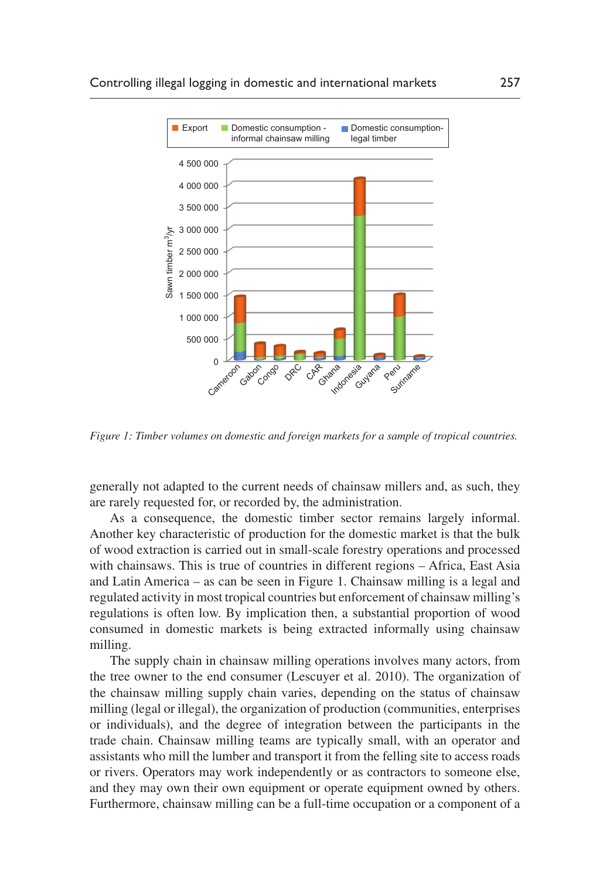

<span id="page-2-0"></span>*Figure 1: Timber volumes on domestic and foreign markets for a sample of tropical countries.*

generally not adapted to the current needs of chainsaw millers and, as such, they are rarely requested for, or recorded by, the administration.

As a consequence, the domestic timber sector remains largely informal. Another key characteristic of production for the domestic market is that the bulk of wood extraction is carried out in small-scale forestry operations and processed with chainsaws. This is true of countries in different regions – Africa, East Asia and Latin America – as can be seen in [Figure 1.](#page-2-0) Chainsaw milling is a legal and regulated activity in most tropical countries but enforcement of chainsaw milling's regulations is often low. By implication then, a substantial proportion of wood consumed in domestic markets is being extracted informally using chainsaw milling.

The supply chain in chainsaw milling operations involves many actors, from the tree owner to the end consumer ([Lescuyer et al. 2010](#page-14-1)). The organization of the chainsaw milling supply chain varies, depending on the status of chainsaw milling (legal or illegal), the organization of production (communities, enterprises or individuals), and the degree of integration between the participants in the trade chain. Chainsaw milling teams are typically small, with an operator and assistants who mill the lumber and transport it from the felling site to access roads or rivers. Operators may work independently or as contractors to someone else, and they may own their own equipment or operate equipment owned by others. Furthermore, chainsaw milling can be a full-time occupation or a component of a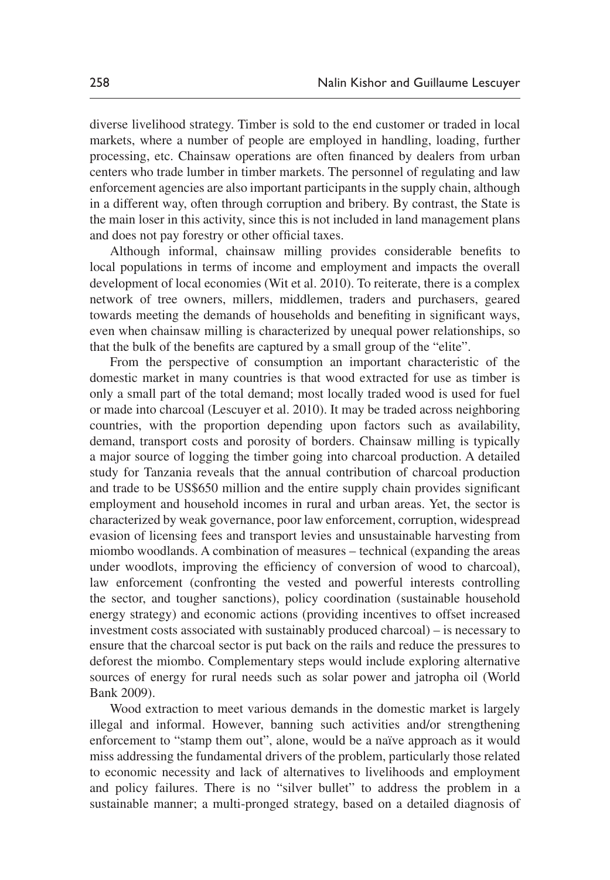diverse livelihood strategy. Timber is sold to the end customer or traded in local markets, where a number of people are employed in handling, loading, further processing, etc. Chainsaw operations are often financed by dealers from urban centers who trade lumber in timber markets. The personnel of regulating and law enforcement agencies are also important participants in the supply chain, although in a different way, often through corruption and bribery. By contrast, the State is the main loser in this activity, since this is not included in land management plans and does not pay forestry or other official taxes.

Although informal, chainsaw milling provides considerable benefits to local populations in terms of income and employment and impacts the overall development of local economies [\(Wit et al. 2010\)](#page-15-2). To reiterate, there is a complex network of tree owners, millers, middlemen, traders and purchasers, geared towards meeting the demands of households and benefiting in significant ways, even when chainsaw milling is characterized by unequal power relationships, so that the bulk of the benefits are captured by a small group of the "elite".

From the perspective of consumption an important characteristic of the domestic market in many countries is that wood extracted for use as timber is only a small part of the total demand; most locally traded wood is used for fuel or made into charcoal ([Lescuyer et al. 2010](#page-14-1)). It may be traded across neighboring countries, with the proportion depending upon factors such as availability, demand, transport costs and porosity of borders. Chainsaw milling is typically a major source of logging the timber going into charcoal production. A detailed study for Tanzania reveals that the annual contribution of charcoal production and trade to be US\$650 million and the entire supply chain provides significant employment and household incomes in rural and urban areas. Yet, the sector is characterized by weak governance, poor law enforcement, corruption, widespread evasion of licensing fees and transport levies and unsustainable harvesting from miombo woodlands. A combination of measures – technical (expanding the areas under woodlots, improving the efficiency of conversion of wood to charcoal), law enforcement (confronting the vested and powerful interests controlling the sector, and tougher sanctions), policy coordination (sustainable household energy strategy) and economic actions (providing incentives to offset increased investment costs associated with sustainably produced charcoal) – is necessary to ensure that the charcoal sector is put back on the rails and reduce the pressures to deforest the miombo. Complementary steps would include exploring alternative sources of energy for rural needs such as solar power and jatropha oil [\(World](#page-15-3) [Bank 2009\)](#page-15-3).

Wood extraction to meet various demands in the domestic market is largely illegal and informal. However, banning such activities and/or strengthening enforcement to "stamp them out", alone, would be a naïve approach as it would miss addressing the fundamental drivers of the problem, particularly those related to economic necessity and lack of alternatives to livelihoods and employment and policy failures. There is no "silver bullet" to address the problem in a sustainable manner; a multi-pronged strategy, based on a detailed diagnosis of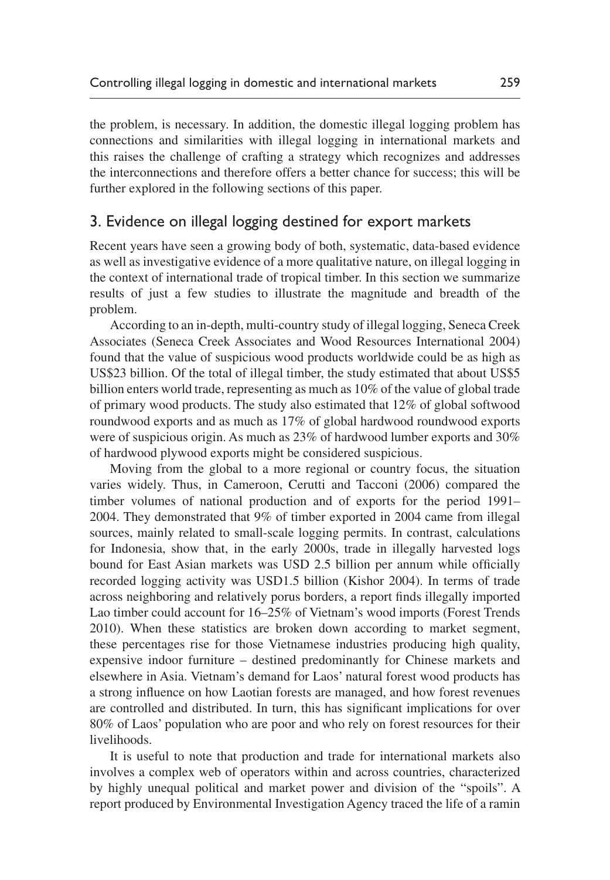the problem, is necessary. In addition, the domestic illegal logging problem has connections and similarities with illegal logging in international markets and this raises the challenge of crafting a strategy which recognizes and addresses the interconnections and therefore offers a better chance for success; this will be further explored in the following sections of this paper.

## 3. Evidence on illegal logging destined for export markets

Recent years have seen a growing body of both, systematic, data-based evidence as well as investigative evidence of a more qualitative nature, on illegal logging in the context of international trade of tropical timber. In this section we summarize results of just a few studies to illustrate the magnitude and breadth of the problem.

According to an in-depth, multi-country study of illegal logging, Seneca Creek Associates [\(Seneca Creek Associates](#page-15-4) and [Wood Resources International 2004\)](#page-15-4) found that the value of suspicious wood products worldwide could be as high as US\$23 billion. Of the total of illegal timber, the study estimated that about US\$5 billion enters world trade, representing as much as 10% of the value of global trade of primary wood products. The study also estimated that 12% of global softwood roundwood exports and as much as 17% of global hardwood roundwood exports were of suspicious origin. As much as 23% of hardwood lumber exports and 30% of hardwood plywood exports might be considered suspicious.

Moving from the global to a more regional or country focus, the situation varies widely. Thus, in Cameroon, [Cerutti and Tacconi \(2006\)](#page-14-2) compared the timber volumes of national production and of exports for the period 1991– 2004. They demonstrated that 9% of timber exported in 2004 came from illegal sources, mainly related to small-scale logging permits. In contrast, calculations for Indonesia, show that, in the early 2000s, trade in illegally harvested logs bound for East Asian markets was USD 2.5 billion per annum while officially recorded logging activity was USD1.5 billion ([Kishor 2004](#page-14-3)). In terms of trade across neighboring and relatively porus borders, a report finds illegally imported Lao timber could account for 16–25% of Vietnam's wood imports ([Forest Trends](#page-14-4)  [2010\)](#page-14-4). When these statistics are broken down according to market segment, these percentages rise for those Vietnamese industries producing high quality, expensive indoor furniture – destined predominantly for Chinese markets and elsewhere in Asia. Vietnam's demand for Laos' natural forest wood products has a strong influence on how Laotian forests are managed, and how forest revenues are controlled and distributed. In turn, this has significant implications for over 80% of Laos' population who are poor and who rely on forest resources for their livelihoods.

It is useful to note that production and trade for international markets also involves a complex web of operators within and across countries, characterized by highly unequal political and market power and division of the "spoils". A report produced by Environmental Investigation Agency traced the life of a ramin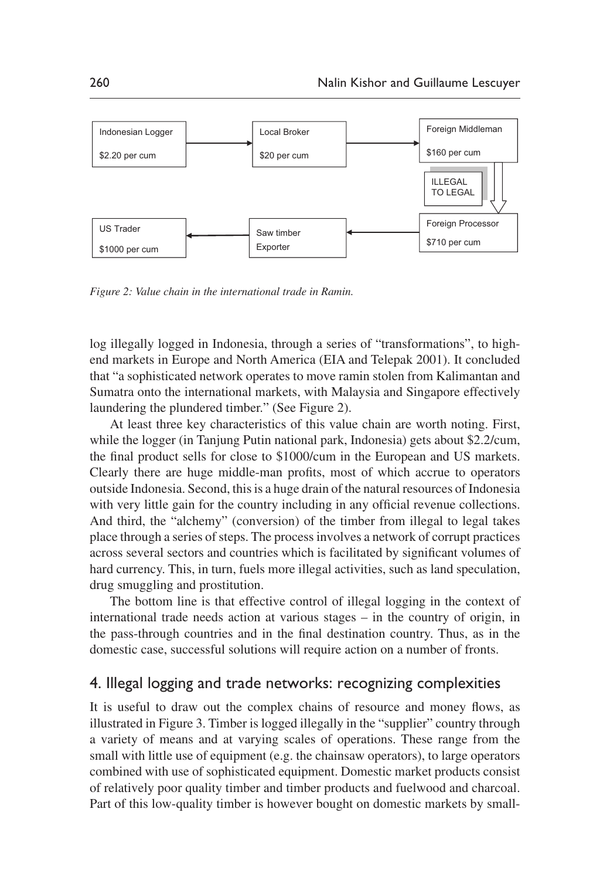

<span id="page-5-0"></span>*Figure 2: Value chain in the international trade in Ramin.*

log illegally logged in Indonesia, through a series of "transformations", to highend markets in Europe and North America ([EIA and Telepak 2001\)](#page-14-5). It concluded that "a sophisticated network operates to move ramin stolen from Kalimantan and Sumatra onto the international markets, with Malaysia and Singapore effectively laundering the plundered timber." (See [Figure 2\)](#page-5-0).

At least three key characteristics of this value chain are worth noting. First, while the logger (in Tanjung Putin national park, Indonesia) gets about \$2.2/cum, the final product sells for close to \$1000/cum in the European and US markets. Clearly there are huge middle-man profits, most of which accrue to operators outside Indonesia. Second, this is a huge drain of the natural resources of Indonesia with very little gain for the country including in any official revenue collections. And third, the "alchemy" (conversion) of the timber from illegal to legal takes place through a series of steps. The process involves a network of corrupt practices across several sectors and countries which is facilitated by significant volumes of hard currency. This, in turn, fuels more illegal activities, such as land speculation, drug smuggling and prostitution.

The bottom line is that effective control of illegal logging in the context of international trade needs action at various stages – in the country of origin, in the pass-through countries and in the final destination country. Thus, as in the domestic case, successful solutions will require action on a number of fronts.

## 4. Illegal logging and trade networks: recognizing complexities

It is useful to draw out the complex chains of resource and money flows, as illustrated in [Figure 3](#page-6-0). Timber is logged illegally in the "supplier" country through a variety of means and at varying scales of operations. These range from the small with little use of equipment (e.g. the chainsaw operators), to large operators combined with use of sophisticated equipment. Domestic market products consist of relatively poor quality timber and timber products and fuelwood and charcoal. Part of this low-quality timber is however bought on domestic markets by small-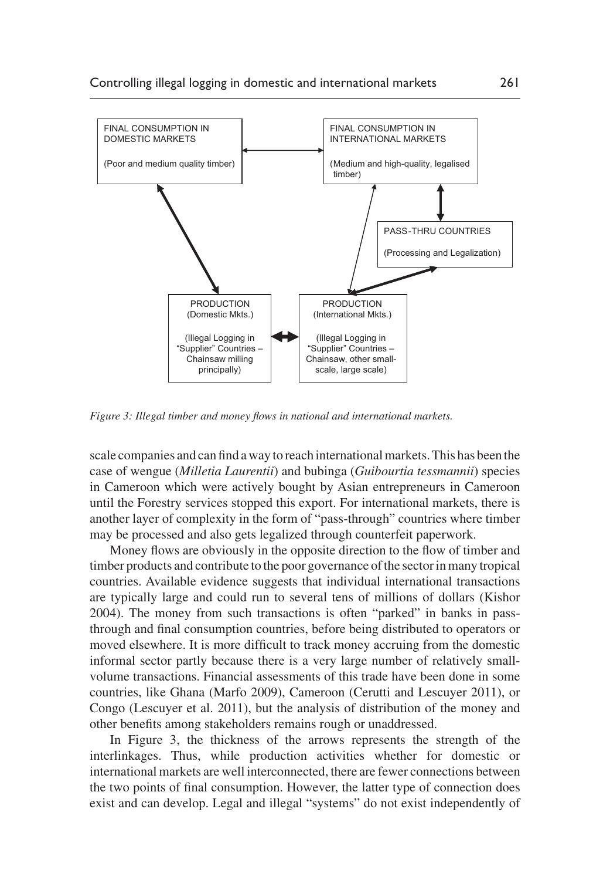

<span id="page-6-0"></span>*Figure 3: Illegal timber and money flows in national and international markets.*

scale companies and can find a way to reach international markets. This has been the case of wengue (*Milletia Laurentii*) and bubinga (*Guibourtia tessmannii*) species in Cameroon which were actively bought by Asian entrepreneurs in Cameroon until the Forestry services stopped this export. For international markets, there is another layer of complexity in the form of "pass-through" countries where timber may be processed and also gets legalized through counterfeit paperwork.

Money flows are obviously in the opposite direction to the flow of timber and timber products and contribute to the poor governance of the sector in many tropical countries. Available evidence suggests that individual international transactions are typically large and could run to several tens of millions of dollars [\(Kishor](#page-14-3) [2004\)](#page-14-3). The money from such transactions is often "parked" in banks in passthrough and final consumption countries, before being distributed to operators or moved elsewhere. It is more difficult to track money accruing from the domestic informal sector partly because there is a very large number of relatively smallvolume transactions. Financial assessments of this trade have been done in some countries, like Ghana ([Marfo 2009](#page-15-5)), Cameroon [\(Cerutti and Lescuyer 2011\)](#page-14-6), or Congo ([Lescuyer et al. 2011\)](#page-14-7), but the analysis of distribution of the money and other benefits among stakeholders remains rough or unaddressed.

In [Figure 3](#page-6-0), the thickness of the arrows represents the strength of the interlinkages. Thus, while production activities whether for domestic or international markets are well interconnected, there are fewer connections between the two points of final consumption. However, the latter type of connection does exist and can develop. Legal and illegal "systems" do not exist independently of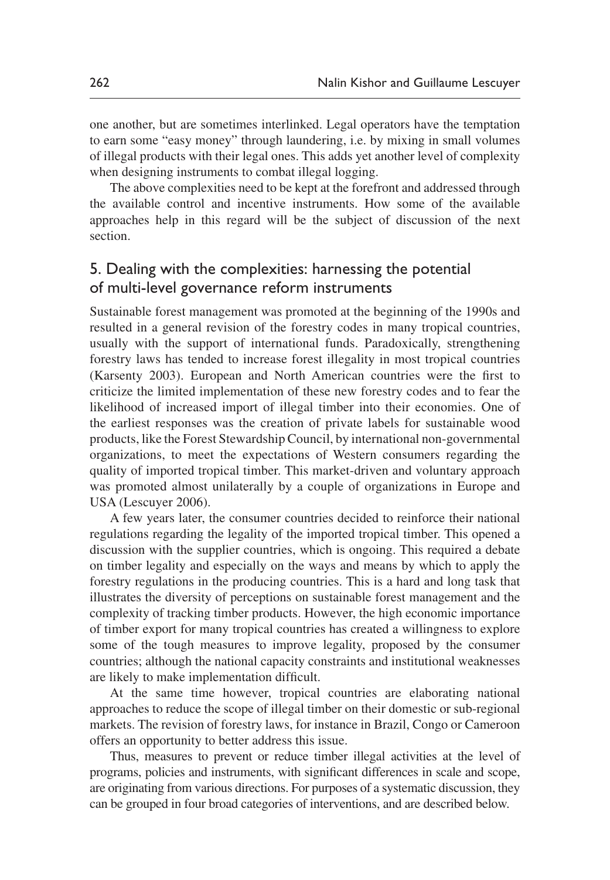one another, but are sometimes interlinked. Legal operators have the temptation to earn some "easy money" through laundering, i.e. by mixing in small volumes of illegal products with their legal ones. This adds yet another level of complexity when designing instruments to combat illegal logging.

The above complexities need to be kept at the forefront and addressed through the available control and incentive instruments. How some of the available approaches help in this regard will be the subject of discussion of the next section.

# 5. Dealing with the complexities: harnessing the potential of multi-level governance reform instruments

Sustainable forest management was promoted at the beginning of the 1990s and resulted in a general revision of the forestry codes in many tropical countries, usually with the support of international funds. Paradoxically, strengthening forestry laws has tended to increase forest illegality in most tropical countries [\(Karsenty 2003](#page-14-8)). European and North American countries were the first to criticize the limited implementation of these new forestry codes and to fear the likelihood of increased import of illegal timber into their economies. One of the earliest responses was the creation of private labels for sustainable wood products, like the Forest Stewardship Council, by international non-governmental organizations, to meet the expectations of Western consumers regarding the quality of imported tropical timber. This market-driven and voluntary approach was promoted almost unilaterally by a couple of organizations in Europe and USA ([Lescuyer 2006](#page-14-9)).

A few years later, the consumer countries decided to reinforce their national regulations regarding the legality of the imported tropical timber. This opened a discussion with the supplier countries, which is ongoing. This required a debate on timber legality and especially on the ways and means by which to apply the forestry regulations in the producing countries. This is a hard and long task that illustrates the diversity of perceptions on sustainable forest management and the complexity of tracking timber products. However, the high economic importance of timber export for many tropical countries has created a willingness to explore some of the tough measures to improve legality, proposed by the consumer countries; although the national capacity constraints and institutional weaknesses are likely to make implementation difficult.

At the same time however, tropical countries are elaborating national approaches to reduce the scope of illegal timber on their domestic or sub-regional markets. The revision of forestry laws, for instance in Brazil, Congo or Cameroon offers an opportunity to better address this issue.

Thus, measures to prevent or reduce timber illegal activities at the level of programs, policies and instruments, with significant differences in scale and scope, are originating from various directions. For purposes of a systematic discussion, they can be grouped in four broad categories of interventions, and are described below.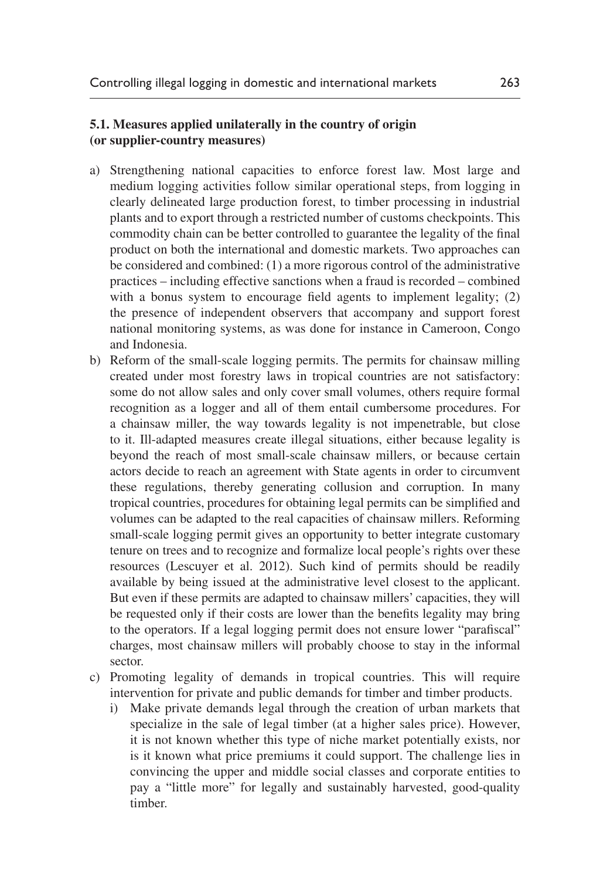#### **5.1. Measures applied unilaterally in the country of origin (or supplier-country measures)**

- a) Strengthening national capacities to enforce forest law. Most large and medium logging activities follow similar operational steps, from logging in clearly delineated large production forest, to timber processing in industrial plants and to export through a restricted number of customs checkpoints. This commodity chain can be better controlled to guarantee the legality of the final product on both the international and domestic markets. Two approaches can be considered and combined: (1) a more rigorous control of the administrative practices – including effective sanctions when a fraud is recorded – combined with a bonus system to encourage field agents to implement legality; (2) the presence of independent observers that accompany and support forest national monitoring systems, as was done for instance in Cameroon, Congo and Indonesia.
- b) Reform of the small-scale logging permits. The permits for chainsaw milling created under most forestry laws in tropical countries are not satisfactory: some do not allow sales and only cover small volumes, others require formal recognition as a logger and all of them entail cumbersome procedures. For a chainsaw miller, the way towards legality is not impenetrable, but close to it. Ill-adapted measures create illegal situations, either because legality is beyond the reach of most small-scale chainsaw millers, or because certain actors decide to reach an agreement with State agents in order to circumvent these regulations, thereby generating collusion and corruption. In many tropical countries, procedures for obtaining legal permits can be simplified and volumes can be adapted to the real capacities of chainsaw millers. Reforming small-scale logging permit gives an opportunity to better integrate customary tenure on trees and to recognize and formalize local people's rights over these resources [\(Lescuyer et al. 2012](#page-14-10)). Such kind of permits should be readily available by being issued at the administrative level closest to the applicant. But even if these permits are adapted to chainsaw millers' capacities, they will be requested only if their costs are lower than the benefits legality may bring to the operators. If a legal logging permit does not ensure lower "parafiscal" charges, most chainsaw millers will probably choose to stay in the informal sector.
- c) Promoting legality of demands in tropical countries. This will require intervention for private and public demands for timber and timber products.
	- i) Make private demands legal through the creation of urban markets that specialize in the sale of legal timber (at a higher sales price). However, it is not known whether this type of niche market potentially exists, nor is it known what price premiums it could support. The challenge lies in convincing the upper and middle social classes and corporate entities to pay a "little more" for legally and sustainably harvested, good-quality timber.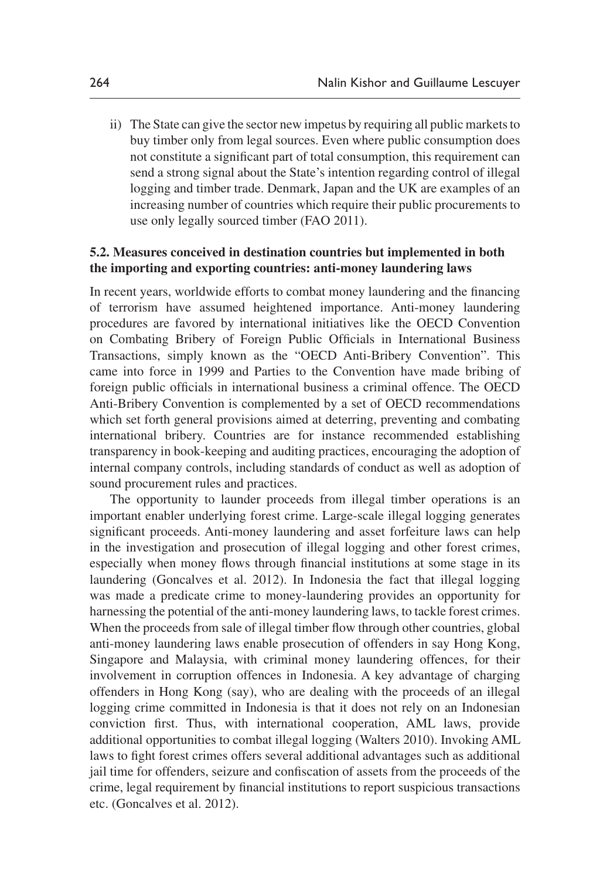ii) The State can give the sector new impetus by requiring all public markets to buy timber only from legal sources. Even where public consumption does not constitute a significant part of total consumption, this requirement can send a strong signal about the State's intention regarding control of illegal logging and timber trade. Denmark, Japan and the UK are examples of an increasing number of countries which require their public procurements to use only legally sourced timber ([FAO 2011](#page-14-11)).

#### **5.2. Measures conceived in destination countries but implemented in both the importing and exporting countries: anti-money laundering laws**

In recent years, worldwide efforts to combat money laundering and the financing of terrorism have assumed heightened importance. Anti-money laundering procedures are favored by international initiatives like the OECD Convention on Combating Bribery of Foreign Public Officials in International Business Transactions, simply known as the "OECD Anti-Bribery Convention". This came into force in 1999 and Parties to the Convention have made bribing of foreign public officials in international business a criminal offence. The OECD Anti-Bribery Convention is complemented by a set of OECD recommendations which set forth general provisions aimed at deterring, preventing and combating international bribery. Countries are for instance recommended establishing transparency in book-keeping and auditing practices, encouraging the adoption of internal company controls, including standards of conduct as well as adoption of sound procurement rules and practices.

The opportunity to launder proceeds from illegal timber operations is an important enabler underlying forest crime. Large-scale illegal logging generates significant proceeds. Anti-money laundering and asset forfeiture laws can help in the investigation and prosecution of illegal logging and other forest crimes, especially when money flows through financial institutions at some stage in its laundering ([Goncalves et al. 2012\)](#page-14-12). In Indonesia the fact that illegal logging was made a predicate crime to money-laundering provides an opportunity for harnessing the potential of the anti-money laundering laws, to tackle forest crimes. When the proceeds from sale of illegal timber flow through other countries, global anti-money laundering laws enable prosecution of offenders in say Hong Kong, Singapore and Malaysia, with criminal money laundering offences, for their involvement in corruption offences in Indonesia. A key advantage of charging offenders in Hong Kong (say), who are dealing with the proceeds of an illegal logging crime committed in Indonesia is that it does not rely on an Indonesian conviction first. Thus, with international cooperation, AML laws, provide additional opportunities to combat illegal logging [\(Walters 2010\)](#page-15-6). Invoking AML laws to fight forest crimes offers several additional advantages such as additional jail time for offenders, seizure and confiscation of assets from the proceeds of the crime, legal requirement by financial institutions to report suspicious transactions etc. ([Goncalves et al. 2012\)](#page-14-12).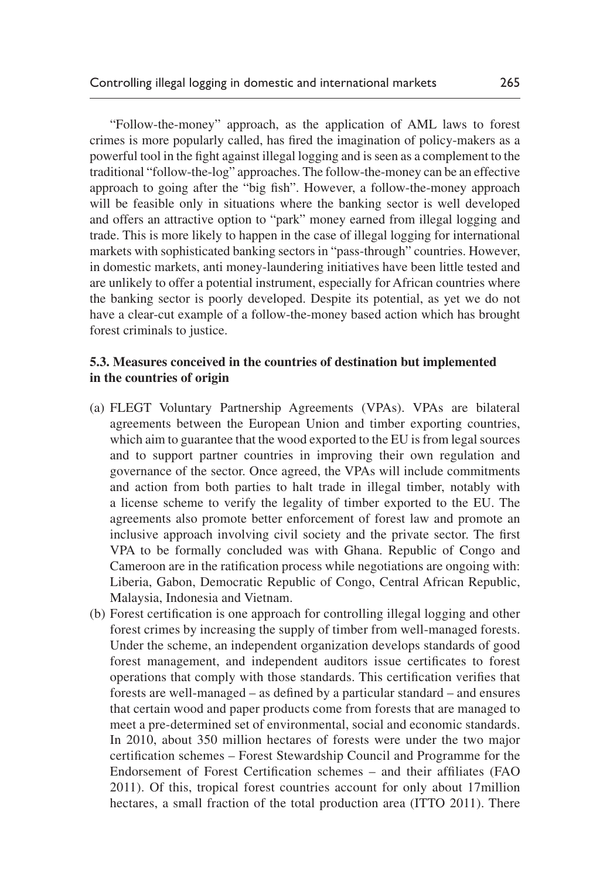"Follow-the-money" approach, as the application of AML laws to forest crimes is more popularly called, has fired the imagination of policy-makers as a powerful tool in the fight against illegal logging and is seen as a complement to the traditional "follow-the-log" approaches. The follow-the-money can be an effective approach to going after the "big fish". However, a follow-the-money approach will be feasible only in situations where the banking sector is well developed and offers an attractive option to "park" money earned from illegal logging and trade. This is more likely to happen in the case of illegal logging for international markets with sophisticated banking sectors in "pass-through" countries. However, in domestic markets, anti money-laundering initiatives have been little tested and are unlikely to offer a potential instrument, especially for African countries where the banking sector is poorly developed. Despite its potential, as yet we do not have a clear-cut example of a follow-the-money based action which has brought forest criminals to justice.

#### **5.3. Measures conceived in the countries of destination but implemented in the countries of origin**

- (a) FLEGT Voluntary Partnership Agreements (VPAs). VPAs are bilateral agreements between the European Union and timber exporting countries, which aim to guarantee that the wood exported to the EU is from legal sources and to support partner countries in improving their own regulation and governance of the sector. Once agreed, the VPAs will include commitments and action from both parties to halt trade in illegal timber, notably with a license scheme to verify the legality of timber exported to the EU. The agreements also promote better enforcement of forest law and promote an inclusive approach involving civil society and the private sector. The first VPA to be formally concluded was with Ghana. Republic of Congo and Cameroon are in the ratification process while negotiations are ongoing with: Liberia, Gabon, Democratic Republic of Congo, Central African Republic, Malaysia, Indonesia and Vietnam.
- (b) Forest certification is one approach for controlling illegal logging and other forest crimes by increasing the supply of timber from well-managed forests. Under the scheme, an independent organization develops standards of good forest management, and independent auditors issue certificates to forest operations that comply with those standards. This certification verifies that forests are well-managed – as defined by a particular standard – and ensures that certain wood and paper products come from forests that are managed to meet a pre-determined set of environmental, social and economic standards. In 2010, about 350 million hectares of forests were under the two major certification schemes – Forest Stewardship Council and Programme for the Endorsement of Forest Certification schemes – and their affiliates ([FAO](#page-14-11) [2011\)](#page-14-11). Of this, tropical forest countries account for only about 17million hectares, a small fraction of the total production area ([ITTO 2011](#page-14-13)). There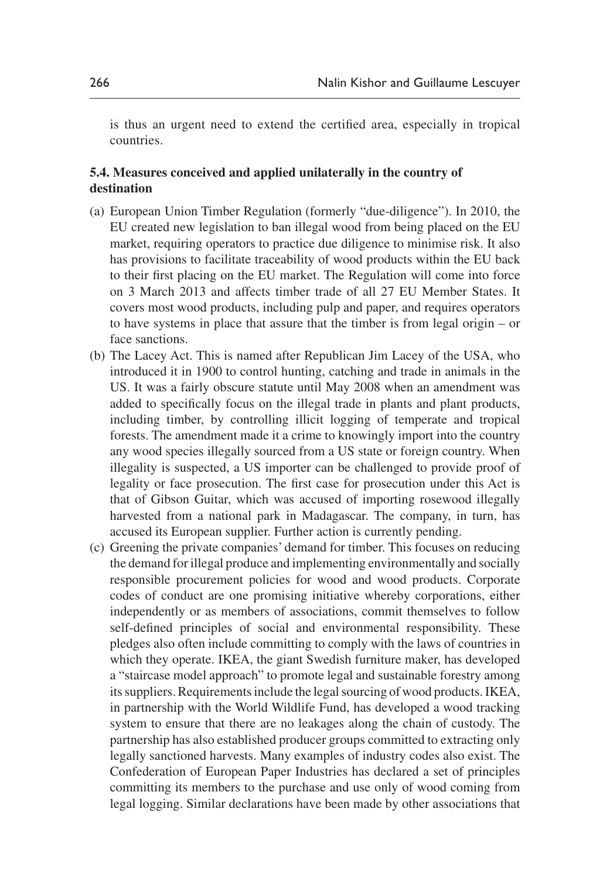is thus an urgent need to extend the certified area, especially in tropical countries.

#### **5.4. Measures conceived and applied unilaterally in the country of destination**

- (a) European Union Timber Regulation (formerly "due-diligence"). In 2010, the EU created new legislation to ban illegal wood from being placed on the EU market, requiring operators to practice due diligence to minimise risk. It also has provisions to facilitate traceability of wood products within the EU back to their first placing on the EU market. The Regulation will come into force on 3 March 2013 and affects timber trade of all 27 EU Member States. It covers most wood products, including pulp and paper, and requires operators to have systems in place that assure that the timber is from legal origin – or face sanctions.
- (b) The Lacey Act. This is named after Republican Jim Lacey of the USA, who introduced it in 1900 to control hunting, catching and trade in animals in the US. It was a fairly obscure statute until May 2008 when an amendment was added to specifically focus on the illegal trade in plants and plant products, including timber, by controlling illicit logging of temperate and tropical forests. The amendment made it a crime to knowingly import into the country any wood species illegally sourced from a US state or foreign country. When illegality is suspected, a US importer can be challenged to provide proof of legality or face prosecution. The first case for prosecution under this Act is that of Gibson Guitar, which was accused of importing rosewood illegally harvested from a national park in Madagascar. The company, in turn, has accused its European supplier. Further action is currently pending.
- (c) Greening the private companies' demand for timber. This focuses on reducing the demand for illegal produce and implementing environmentally and socially responsible procurement policies for wood and wood products. Corporate codes of conduct are one promising initiative whereby corporations, either independently or as members of associations, commit themselves to follow self-defined principles of social and environmental responsibility. These pledges also often include committing to comply with the laws of countries in which they operate. IKEA, the giant Swedish furniture maker, has developed a "staircase model approach" to promote legal and sustainable forestry among its suppliers. Requirements include the legal sourcing of wood products. IKEA, in partnership with the World Wildlife Fund, has developed a wood tracking system to ensure that there are no leakages along the chain of custody. The partnership has also established producer groups committed to extracting only legally sanctioned harvests. Many examples of industry codes also exist. The Confederation of European Paper Industries has declared a set of principles committing its members to the purchase and use only of wood coming from legal logging. Similar declarations have been made by other associations that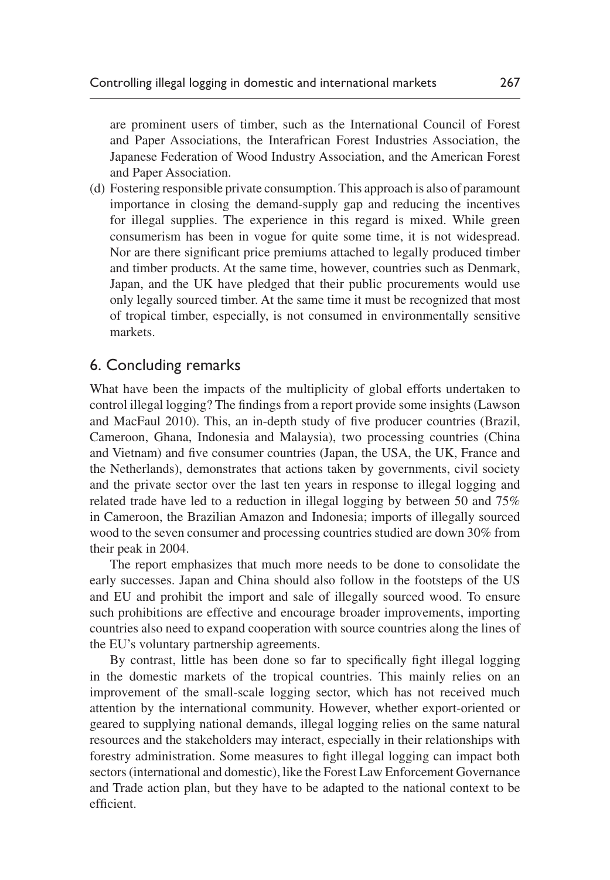are prominent users of timber, such as the International Council of Forest and Paper Associations, the Interafrican Forest Industries Association, the Japanese Federation of Wood Industry Association, and the American Forest and Paper Association.

(d) Fostering responsible private consumption. This approach is also of paramount importance in closing the demand-supply gap and reducing the incentives for illegal supplies. The experience in this regard is mixed. While green consumerism has been in vogue for quite some time, it is not widespread. Nor are there significant price premiums attached to legally produced timber and timber products. At the same time, however, countries such as Denmark, Japan, and the UK have pledged that their public procurements would use only legally sourced timber. At the same time it must be recognized that most of tropical timber, especially, is not consumed in environmentally sensitive markets.

## 6. Concluding remarks

What have been the impacts of the multiplicity of global efforts undertaken to control illegal logging? The findings from a report provide some insights ([Lawson](#page-14-14) [and MacFaul 2010\)](#page-14-14). This, an in-depth study of five producer countries (Brazil, Cameroon, Ghana, Indonesia and Malaysia), two processing countries (China and Vietnam) and five consumer countries (Japan, the USA, the UK, France and the Netherlands), demonstrates that actions taken by governments, civil society and the private sector over the last ten years in response to illegal logging and related trade have led to a reduction in illegal logging by between 50 and 75% in Cameroon, the Brazilian Amazon and Indonesia; imports of illegally sourced wood to the seven consumer and processing countries studied are down 30% from their peak in 2004.

The report emphasizes that much more needs to be done to consolidate the early successes. Japan and China should also follow in the footsteps of the US and EU and prohibit the import and sale of illegally sourced wood. To ensure such prohibitions are effective and encourage broader improvements, importing countries also need to expand cooperation with source countries along the lines of the EU's voluntary partnership agreements.

By contrast, little has been done so far to specifically fight illegal logging in the domestic markets of the tropical countries. This mainly relies on an improvement of the small-scale logging sector, which has not received much attention by the international community. However, whether export-oriented or geared to supplying national demands, illegal logging relies on the same natural resources and the stakeholders may interact, especially in their relationships with forestry administration. Some measures to fight illegal logging can impact both sectors (international and domestic), like the Forest Law Enforcement Governance and Trade action plan, but they have to be adapted to the national context to be efficient.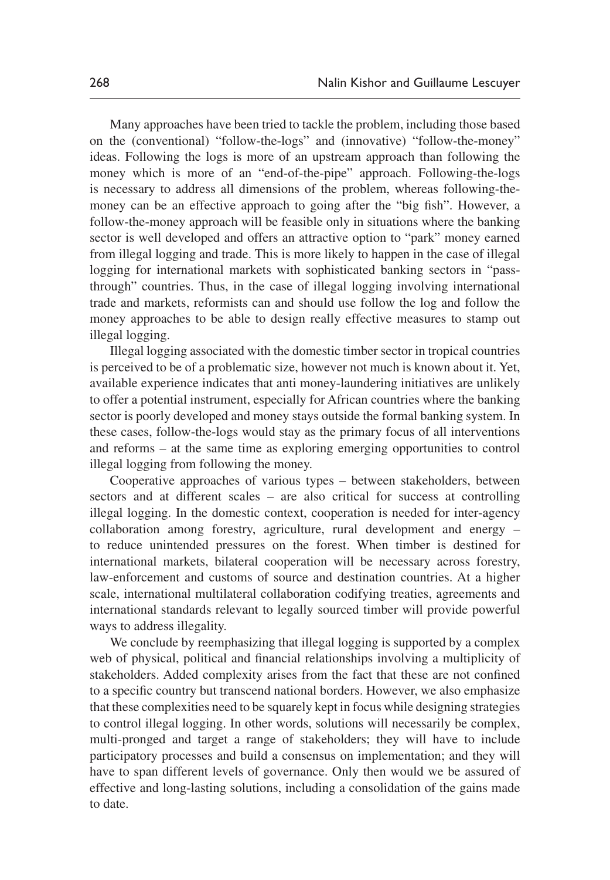Many approaches have been tried to tackle the problem, including those based on the (conventional) "follow-the-logs" and (innovative) "follow-the-money" ideas. Following the logs is more of an upstream approach than following the money which is more of an "end-of-the-pipe" approach. Following-the-logs is necessary to address all dimensions of the problem, whereas following-themoney can be an effective approach to going after the "big fish". However, a follow-the-money approach will be feasible only in situations where the banking sector is well developed and offers an attractive option to "park" money earned from illegal logging and trade. This is more likely to happen in the case of illegal logging for international markets with sophisticated banking sectors in "passthrough" countries. Thus, in the case of illegal logging involving international trade and markets, reformists can and should use follow the log and follow the money approaches to be able to design really effective measures to stamp out illegal logging.

Illegal logging associated with the domestic timber sector in tropical countries is perceived to be of a problematic size, however not much is known about it. Yet, available experience indicates that anti money-laundering initiatives are unlikely to offer a potential instrument, especially for African countries where the banking sector is poorly developed and money stays outside the formal banking system. In these cases, follow-the-logs would stay as the primary focus of all interventions and reforms – at the same time as exploring emerging opportunities to control illegal logging from following the money.

Cooperative approaches of various types – between stakeholders, between sectors and at different scales – are also critical for success at controlling illegal logging. In the domestic context, cooperation is needed for inter-agency collaboration among forestry, agriculture, rural development and energy – to reduce unintended pressures on the forest. When timber is destined for international markets, bilateral cooperation will be necessary across forestry, law-enforcement and customs of source and destination countries. At a higher scale, international multilateral collaboration codifying treaties, agreements and international standards relevant to legally sourced timber will provide powerful ways to address illegality.

We conclude by reemphasizing that illegal logging is supported by a complex web of physical, political and financial relationships involving a multiplicity of stakeholders. Added complexity arises from the fact that these are not confined to a specific country but transcend national borders. However, we also emphasize that these complexities need to be squarely kept in focus while designing strategies to control illegal logging. In other words, solutions will necessarily be complex, multi-pronged and target a range of stakeholders; they will have to include participatory processes and build a consensus on implementation; and they will have to span different levels of governance. Only then would we be assured of effective and long-lasting solutions, including a consolidation of the gains made to date.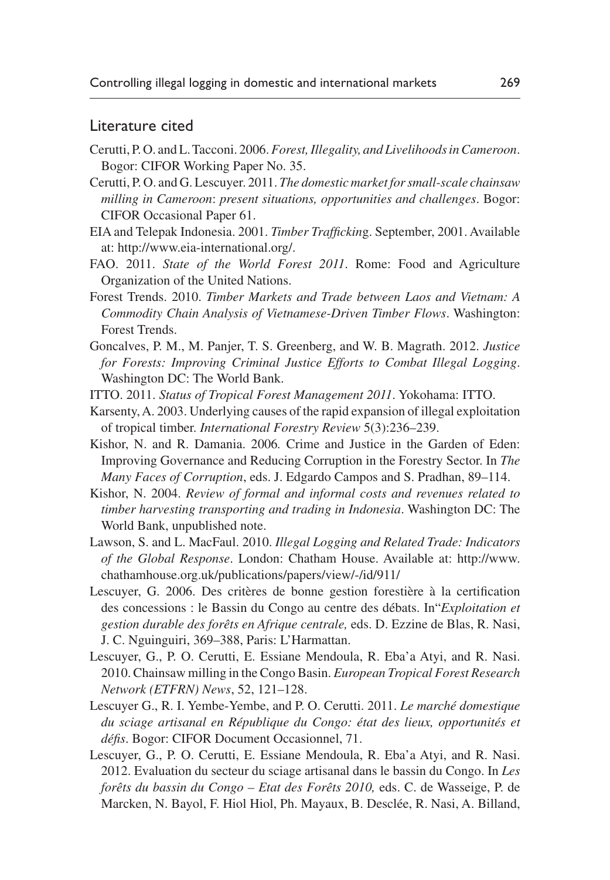### Literature cited

- <span id="page-14-2"></span>Cerutti, P. O. and L. Tacconi. 2006. *Forest, Illegality, and Livelihoods in Cameroon*. Bogor: CIFOR Working Paper No. 35.
- <span id="page-14-6"></span>Cerutti, P. O. and G. Lescuyer. 2011. *The domestic market for small-scale chainsaw milling in Cameroon*: *present situations, opportunities and challenges*. Bogor: CIFOR Occasional Paper 61.
- <span id="page-14-5"></span>EIA and Telepak Indonesia. 2001. *Timber Traffickin*g. September, 2001. Available at: [http://www.eia-international.org/.](http://www.eia-international.org/)
- <span id="page-14-11"></span>FAO. 2011. *State of the World Forest 2011*. Rome: Food and Agriculture Organization of the United Nations.
- <span id="page-14-4"></span>Forest Trends. 2010. *Timber Markets and Trade between Laos and Vietnam: A Commodity Chain Analysis of Vietnamese-Driven Timber Flows*. Washington: Forest Trends.
- <span id="page-14-12"></span>Goncalves, P. M., M. Panjer, T. S. Greenberg, and W. B. Magrath. 2012. *Justice for Forests: Improving Criminal Justice Efforts to Combat Illegal Logging*. Washington DC: The World Bank.
- <span id="page-14-13"></span>ITTO. 2011. *Status of Tropical Forest Management 2011*. Yokohama: ITTO.
- <span id="page-14-8"></span>Karsenty, A. 2003. Underlying causes of the rapid expansion of illegal exploitation of tropical timber. *International Forestry Review* 5(3):236–239.
- <span id="page-14-0"></span>Kishor, N. and R. Damania. 2006*.* Crime and Justice in the Garden of Eden: Improving Governance and Reducing Corruption in the Forestry Sector. In *The Many Faces of Corruption*, eds. J. Edgardo Campos and S. Pradhan, 89–114.
- <span id="page-14-3"></span>Kishor, N. 2004. *Review of formal and informal costs and revenues related to timber harvesting transporting and trading in Indonesia*. Washington DC: The World Bank, unpublished note.
- <span id="page-14-14"></span>Lawson, S. and L. MacFaul. 2010. *Illegal Logging and Related Trade: Indicators of the Global Response*. London: Chatham House. Available at: [http://www.](http://www.chathamhouse.org.uk/publications/papers/view/-/id/911/) [chathamhouse.org.uk/publications/papers/view/-/id/911/](http://www.chathamhouse.org.uk/publications/papers/view/-/id/911/)
- <span id="page-14-9"></span>Lescuyer, G. 2006. Des critères de bonne gestion forestière à la certification des concessions : le Bassin du Congo au centre des débats. In"*Exploitation et gestion durable des forêts en Afrique centrale,* eds. D. Ezzine de Blas, R. Nasi, J. C. Nguinguiri, 369–388, Paris: L'Harmattan.
- <span id="page-14-1"></span>Lescuyer, G., P. O. Cerutti, E. Essiane Mendoula, R. Eba'a Atyi, and R. Nasi. 2010. Chainsaw milling in the Congo Basin. *European Tropical Forest Research Network (ETFRN) News*, 52, 121–128.
- <span id="page-14-7"></span>Lescuyer G., R. I. Yembe-Yembe, and P. O. Cerutti. 2011. *Le marché domestique du sciage artisanal en République du Congo: état des lieux, opportunités et défis*. Bogor: CIFOR Document Occasionnel, 71.
- <span id="page-14-10"></span>Lescuyer, G., P. O. Cerutti, E. Essiane Mendoula, R. Eba'a Atyi, and R. Nasi. 2012. Evaluation du secteur du sciage artisanal dans le bassin du Congo. In *Les forêts du bassin du Congo – Etat des Forêts 2010,* eds. C. de Wasseige, P. de Marcken, N. Bayol, F. Hiol Hiol, Ph. Mayaux, B. Desclée, R. Nasi, A. Billand,